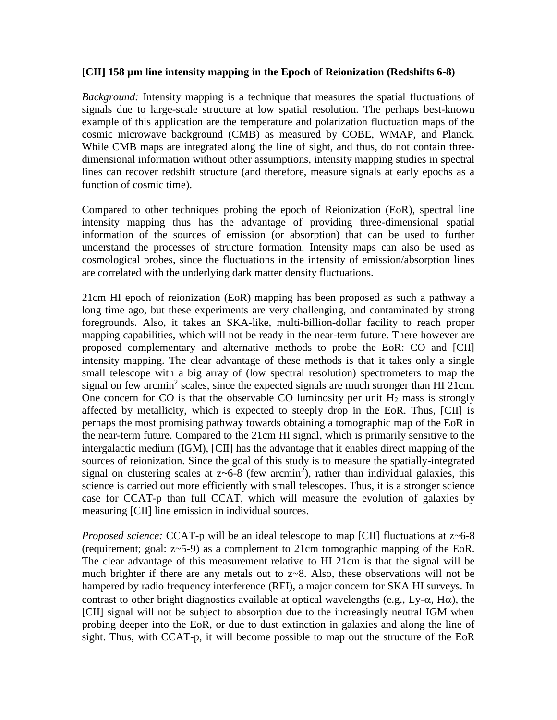## **[CII] 158 µm line intensity mapping in the Epoch of Reionization (Redshifts 6-8)**

*Background:* Intensity mapping is a technique that measures the spatial fluctuations of signals due to large-scale structure at low spatial resolution. The perhaps best-known example of this application are the temperature and polarization fluctuation maps of the cosmic microwave background (CMB) as measured by COBE, WMAP, and Planck. While CMB maps are integrated along the line of sight, and thus, do not contain threedimensional information without other assumptions, intensity mapping studies in spectral lines can recover redshift structure (and therefore, measure signals at early epochs as a function of cosmic time).

Compared to other techniques probing the epoch of Reionization (EoR), spectral line intensity mapping thus has the advantage of providing three-dimensional spatial information of the sources of emission (or absorption) that can be used to further understand the processes of structure formation. Intensity maps can also be used as cosmological probes, since the fluctuations in the intensity of emission/absorption lines are correlated with the underlying dark matter density fluctuations.

21cm HI epoch of reionization (EoR) mapping has been proposed as such a pathway a long time ago, but these experiments are very challenging, and contaminated by strong foregrounds. Also, it takes an SKA-like, multi-billion-dollar facility to reach proper mapping capabilities, which will not be ready in the near-term future. There however are proposed complementary and alternative methods to probe the EoR: CO and [CII] intensity mapping. The clear advantage of these methods is that it takes only a single small telescope with a big array of (low spectral resolution) spectrometers to map the signal on few arcmin<sup>2</sup> scales, since the expected signals are much stronger than HI 21cm. One concern for CO is that the observable CO luminosity per unit  $H_2$  mass is strongly affected by metallicity, which is expected to steeply drop in the EoR. Thus, [CII] is perhaps the most promising pathway towards obtaining a tomographic map of the EoR in the near-term future. Compared to the 21cm HI signal, which is primarily sensitive to the intergalactic medium (IGM), [CII] has the advantage that it enables direct mapping of the sources of reionization. Since the goal of this study is to measure the spatially-integrated signal on clustering scales at  $z$ ~6-8 (few arcmin<sup>2</sup>), rather than individual galaxies, this science is carried out more efficiently with small telescopes. Thus, it is a stronger science case for CCAT-p than full CCAT, which will measure the evolution of galaxies by measuring [CII] line emission in individual sources.

*Proposed science:* CCAT-p will be an ideal telescope to map [CII] fluctuations at z~6-8 (requirement; goal: z~5-9) as a complement to 21cm tomographic mapping of the EoR. The clear advantage of this measurement relative to HI 21cm is that the signal will be much brighter if there are any metals out to z~8. Also, these observations will not be hampered by radio frequency interference (RFI), a major concern for SKA HI surveys. In contrast to other bright diagnostics available at optical wavelengths (e.g., Ly- $\alpha$ , H $\alpha$ ), the [CII] signal will not be subject to absorption due to the increasingly neutral IGM when probing deeper into the EoR, or due to dust extinction in galaxies and along the line of sight. Thus, with CCAT-p, it will become possible to map out the structure of the EoR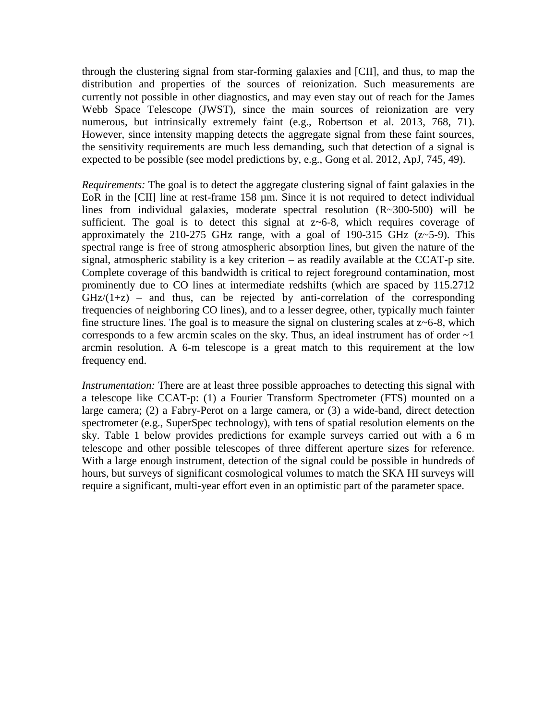through the clustering signal from star-forming galaxies and [CII], and thus, to map the distribution and properties of the sources of reionization. Such measurements are currently not possible in other diagnostics, and may even stay out of reach for the James Webb Space Telescope (JWST), since the main sources of reionization are very numerous, but intrinsically extremely faint (e.g., Robertson et al. 2013, 768, 71). However, since intensity mapping detects the aggregate signal from these faint sources, the sensitivity requirements are much less demanding, such that detection of a signal is expected to be possible (see model predictions by, e.g., Gong et al. 2012, ApJ, 745, 49).

*Requirements:* The goal is to detect the aggregate clustering signal of faint galaxies in the EoR in the [CII] line at rest-frame 158 um. Since it is not required to detect individual lines from individual galaxies, moderate spectral resolution (R~300-500) will be sufficient. The goal is to detect this signal at  $z \sim 6-8$ , which requires coverage of approximately the 210-275 GHz range, with a goal of 190-315 GHz  $(z\sim5-9)$ . This spectral range is free of strong atmospheric absorption lines, but given the nature of the signal, atmospheric stability is a key criterion – as readily available at the CCAT-p site. Complete coverage of this bandwidth is critical to reject foreground contamination, most prominently due to CO lines at intermediate redshifts (which are spaced by 115.2712  $GHz/(1+z)$  – and thus, can be rejected by anti-correlation of the corresponding frequencies of neighboring CO lines), and to a lesser degree, other, typically much fainter fine structure lines. The goal is to measure the signal on clustering scales at  $z$  –6-8, which corresponds to a few arcmin scales on the sky. Thus, an ideal instrument has of order  $\sim$ 1 arcmin resolution. A 6-m telescope is a great match to this requirement at the low frequency end.

*Instrumentation:* There are at least three possible approaches to detecting this signal with a telescope like CCAT-p: (1) a Fourier Transform Spectrometer (FTS) mounted on a large camera; (2) a Fabry-Perot on a large camera, or (3) a wide-band, direct detection spectrometer (e.g., SuperSpec technology), with tens of spatial resolution elements on the sky. Table 1 below provides predictions for example surveys carried out with a 6 m telescope and other possible telescopes of three different aperture sizes for reference. With a large enough instrument, detection of the signal could be possible in hundreds of hours, but surveys of significant cosmological volumes to match the SKA HI surveys will require a significant, multi-year effort even in an optimistic part of the parameter space.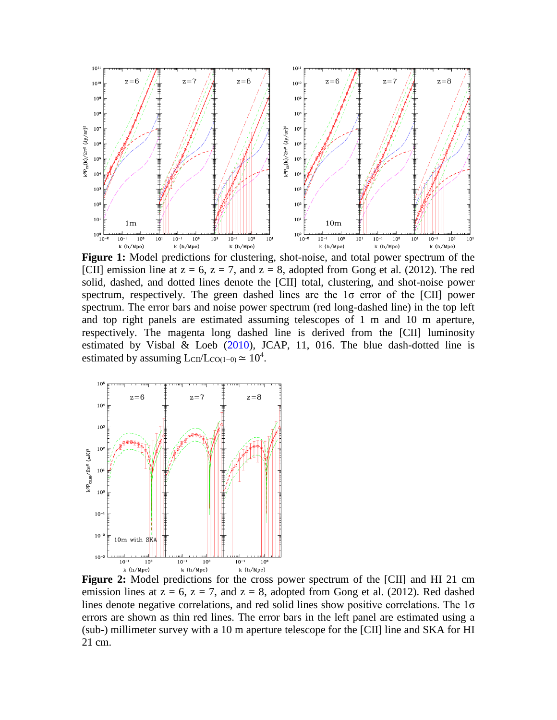

**Figure 1:** Model predictions for clustering, shot-noise, and total power spectrum of the [CII] emission line at  $z = 6$ ,  $z = 7$ , and  $z = 8$ , adopted from Gong et al. (2012). The red solid, dashed, and dotted lines denote the [CII] total, clustering, and shot-noise power spectrum, respectively. The green dashed lines are the  $1\sigma$  error of the [CII] power spectrum. The error bars and noise power spectrum (red long-dashed line) in the top left and top right panels are estimated assuming telescopes of 1 m and 10 m aperture, respectively. The magenta long dashed line is derived from the [CII] luminosity estimated by Visbal & Loeb (2010), JCAP, 11, 016. The blue dash-dotted line is estimated by assuming  $L_{\text{CII}}/L_{\text{CO}(1-0)} \simeq 10^4$ .



**Figure 2:** Model predictions for the cross power spectrum of the [CII] and HI 21 cm emission lines at  $z = 6$ ,  $z = 7$ , and  $z = 8$ , adopted from Gong et al. (2012). Red dashed lines denote negative correlations, and red solid lines show positive correlations. The 1σ errors are shown as thin red lines. The error bars in the left panel are estimated using a (sub-) millimeter survey with a 10 m aperture telescope for the [CII] line and SKA for HI 21 cm.